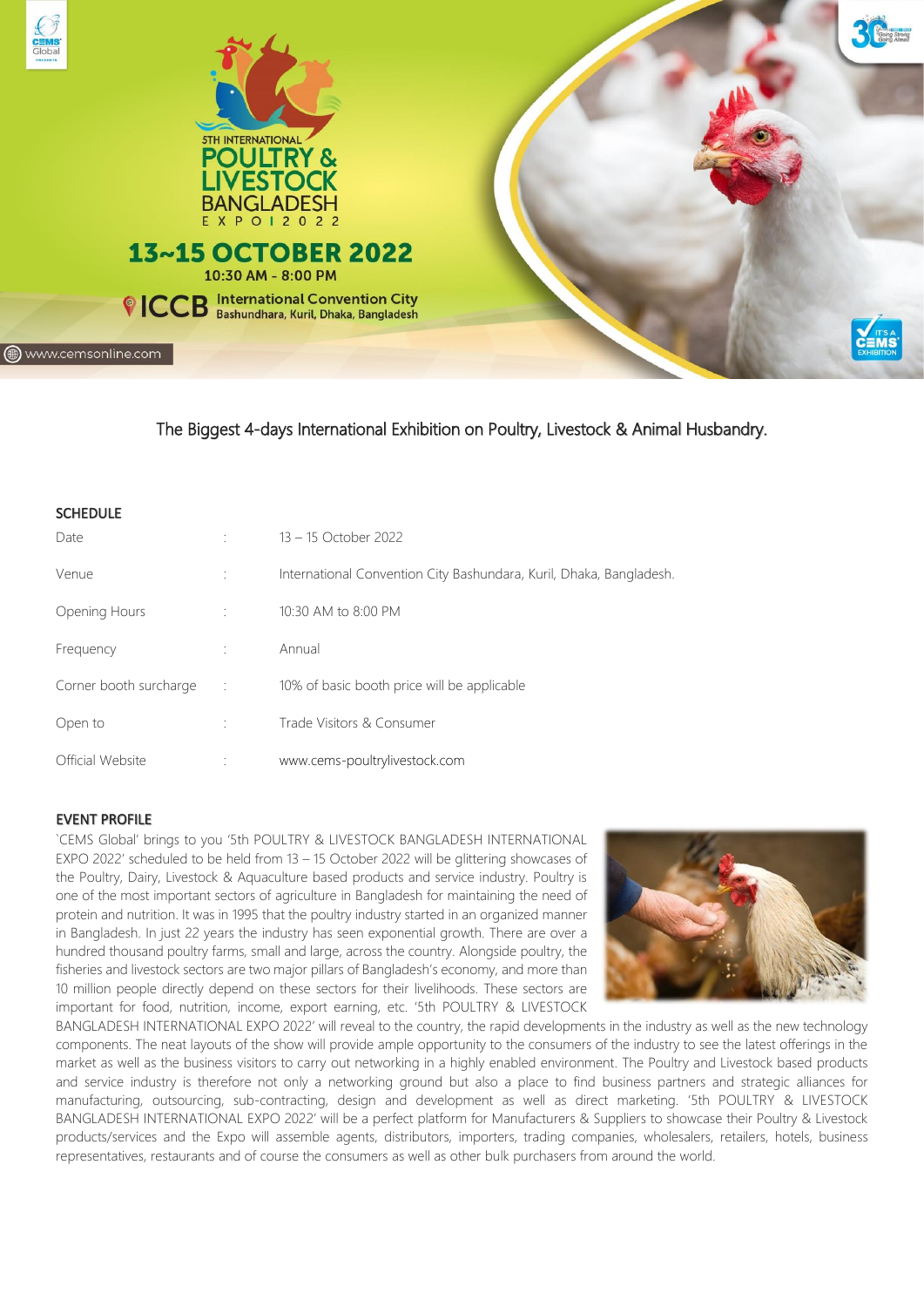

www.cemsonline.com



10:30 AM - 8:00 PM <sup>©</sup> ICCB **International Convention City**<br> **Bashundhara, Kuril, Dhaka, Bangladesh** 

# The Biggest 4-days International Exhibition on Poultry, Livestock & Animal Husbandry.

| <b>SCHEDULE</b>        |             |                                                                     |
|------------------------|-------------|---------------------------------------------------------------------|
| Date                   |             | 13 - 15 October 2022                                                |
| Venue                  |             | International Convention City Bashundara, Kuril, Dhaka, Bangladesh. |
| Opening Hours          |             | 10:30 AM to 8:00 PM                                                 |
| Frequency              |             | Annual                                                              |
| Corner booth surcharge | $\sim 10^6$ | 10% of basic booth price will be applicable                         |
| Open to                |             | Trade Visitors & Consumer                                           |
| Official Website       |             | www.cems-poultrylivestock.com                                       |

## EVENT PROFILE

`CEMS Global' brings to you '5th POULTRY & LIVESTOCK BANGLADESH INTERNATIONAL EXPO 2022' scheduled to be held from 13 – 15 October 2022 will be glittering showcases of the Poultry, Dairy, Livestock & Aquaculture based products and service industry. Poultry is one of the most important sectors of agriculture in Bangladesh for maintaining the need of protein and nutrition. It was in 1995 that the poultry industry started in an organized manner in Bangladesh. In just 22 years the industry has seen exponential growth. There are over a hundred thousand poultry farms, small and large, across the country. Alongside poultry, the fisheries and livestock sectors are two major pillars of Bangladesh's economy, and more than 10 million people directly depend on these sectors for their livelihoods. These sectors are important for food, nutrition, income, export earning, etc. '5th POULTRY & LIVESTOCK



BANGLADESH INTERNATIONAL EXPO 2022' will reveal to the country, the rapid developments in the industry as well as the new technology components. The neat layouts of the show will provide ample opportunity to the consumers of the industry to see the latest offerings in the market as well as the business visitors to carry out networking in a highly enabled environment. The Poultry and Livestock based products and service industry is therefore not only a networking ground but also a place to find business partners and strategic alliances for manufacturing, outsourcing, sub-contracting, design and development as well as direct marketing. '5th POULTRY & LIVESTOCK BANGLADESH INTERNATIONAL EXPO 2022' will be a perfect platform for Manufacturers & Suppliers to showcase their Poultry & Livestock products/services and the Expo will assemble agents, distributors, importers, trading companies, wholesalers, retailers, hotels, business representatives, restaurants and of course the consumers as well as other bulk purchasers from around the world.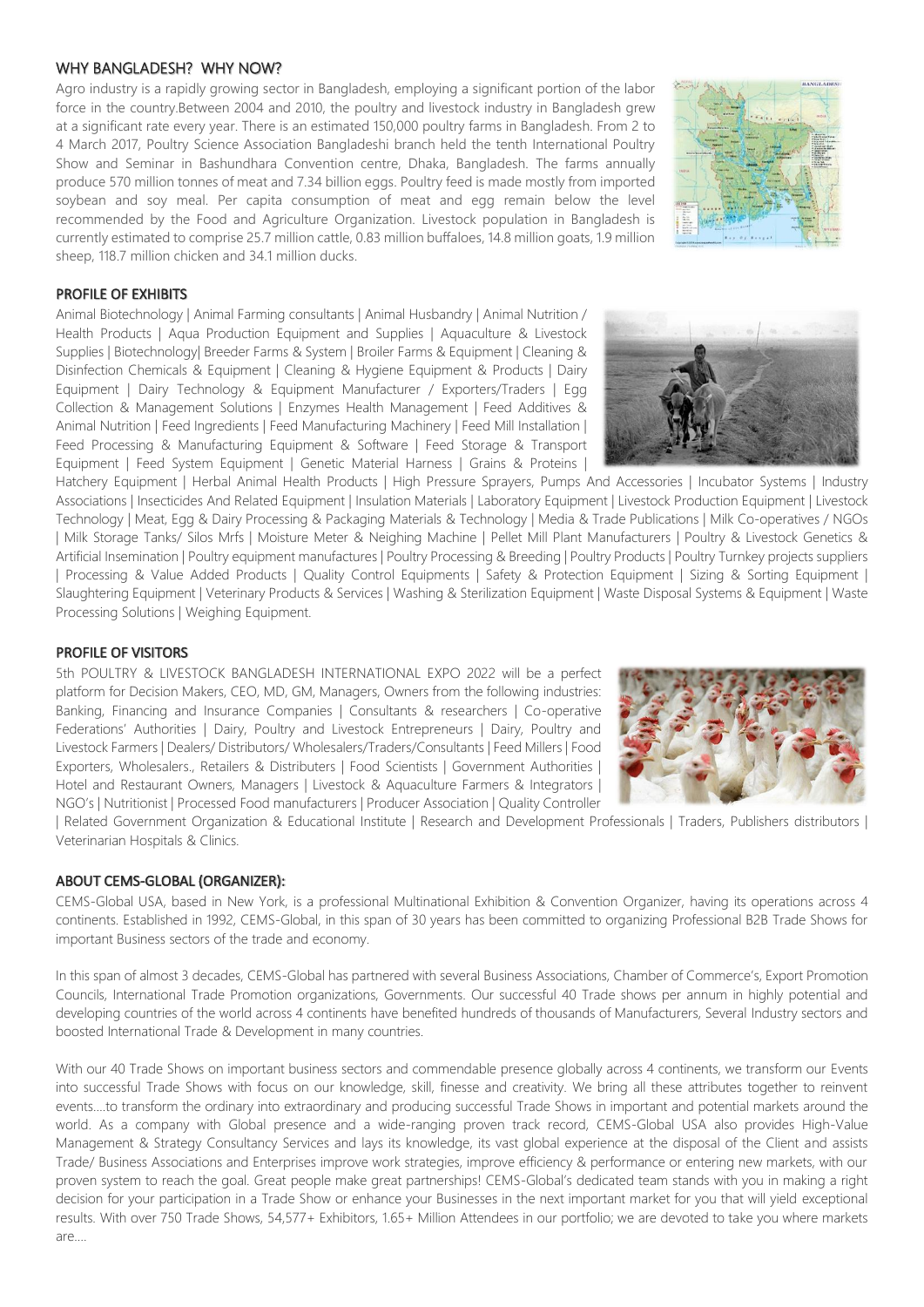### WHY BANGLADESH? WHY NOW?

Agro industry is a rapidly growing sector in Bangladesh, employing a significant portion of the labor force in the country.Between 2004 and 2010, the poultry and livestock industry in Bangladesh grew at a significant rate every year. There is an estimated 150,000 poultry farms in Bangladesh. From 2 to 4 March 2017, Poultry Science Association Bangladeshi branch held the tenth International Poultry Show and Seminar in Bashundhara Convention centre, Dhaka, Bangladesh. The farms annually produce 570 million tonnes of meat and 7.34 billion eggs. Poultry feed is made mostly from imported soybean and soy meal. Per capita consumption of meat and egg remain below the level recommended by the Food and Agriculture Organization. Livestock population in Bangladesh is currently estimated to comprise 25.7 million cattle, 0.83 million buffaloes, 14.8 million goats, 1.9 million sheep, 118.7 million chicken and 34.1 million ducks.

#### PROFILE OF EXHIBITS

Animal Biotechnology | Animal Farming consultants | Animal Husbandry | Animal Nutrition / Health Products | Aqua Production Equipment and Supplies | Aquaculture & Livestock Supplies | Biotechnology| Breeder Farms & System | Broiler Farms & Equipment | Cleaning & Disinfection Chemicals & Equipment | Cleaning & Hygiene Equipment & Products | Dairy Equipment | Dairy Technology & Equipment Manufacturer / Exporters/Traders | Egg Collection & Management Solutions | Enzymes Health Management | Feed Additives & Animal Nutrition | Feed Ingredients | Feed Manufacturing Machinery | Feed Mill Installation | Feed Processing & Manufacturing Equipment & Software | Feed Storage & Transport Equipment | Feed System Equipment | Genetic Material Harness | Grains & Proteins |

Hatchery Equipment | Herbal Animal Health Products | High Pressure Sprayers, Pumps And Accessories | Incubator Systems | Industry Associations | Insecticides And Related Equipment | Insulation Materials | Laboratory Equipment | Livestock Production Equipment | Livestock Technology | Meat, Egg & Dairy Processing & Packaging Materials & Technology | Media & Trade Publications | Milk Co-operatives / NGOs | Milk Storage Tanks/ Silos Mrfs | Moisture Meter & Neighing Machine | Pellet Mill Plant Manufacturers | Poultry & Livestock Genetics & Artificial Insemination | Poultry equipment manufactures | Poultry Processing & Breeding | Poultry Products | Poultry Turnkey projects suppliers | Processing & Value Added Products | Quality Control Equipments | Safety & Protection Equipment | Sizing & Sorting Equipment | Slaughtering Equipment | Veterinary Products & Services | Washing & Sterilization Equipment | Waste Disposal Systems & Equipment | Waste Processing Solutions | Weighing Equipment.

#### PROFILE OF VISITORS

5th POULTRY & LIVESTOCK BANGLADESH INTERNATIONAL EXPO 2022 will be a perfect platform for Decision Makers, CEO, MD, GM, Managers, Owners from the following industries: Banking, Financing and Insurance Companies | Consultants & researchers | Co-operative Federations' Authorities | Dairy, Poultry and Livestock Entrepreneurs | Dairy, Poultry and Livestock Farmers | Dealers/ Distributors/ Wholesalers/Traders/Consultants | Feed Millers | Food Exporters, Wholesalers., Retailers & Distributers | Food Scientists | Government Authorities | Hotel and Restaurant Owners, Managers | Livestock & Aquaculture Farmers & Integrators | NGO's | Nutritionist | Processed Food manufacturers | Producer Association | Quality Controller

| Related Government Organization & Educational Institute | Research and Development Professionals | Traders, Publishers distributors | Veterinarian Hospitals & Clinics.

### ABOUT CEMS-GLOBAL (ORGANIZER):

CEMS-Global USA, based in New York, is a professional Multinational Exhibition & Convention Organizer, having its operations across 4 continents. Established in 1992, CEMS-Global, in this span of 30 years has been committed to organizing Professional B2B Trade Shows for important Business sectors of the trade and economy.

In this span of almost 3 decades, CEMS-Global has partnered with several Business Associations, Chamber of Commerce's, Export Promotion Councils, International Trade Promotion organizations, Governments. Our successful 40 Trade shows per annum in highly potential and developing countries of the world across 4 continents have benefited hundreds of thousands of Manufacturers, Several Industry sectors and boosted International Trade & Development in many countries.

With our 40 Trade Shows on important business sectors and commendable presence globally across 4 continents, we transform our Events into successful Trade Shows with focus on our knowledge, skill, finesse and creativity. We bring all these attributes together to reinvent events….to transform the ordinary into extraordinary and producing successful Trade Shows in important and potential markets around the world. As a company with Global presence and a wide-ranging proven track record, CEMS-Global USA also provides High-Value Management & Strategy Consultancy Services and lays its knowledge, its vast global experience at the disposal of the Client and assists Trade/ Business Associations and Enterprises improve work strategies, improve efficiency & performance or entering new markets, with our proven system to reach the goal. Great people make great partnerships! CEMS-Global's dedicated team stands with you in making a right decision for your participation in a Trade Show or enhance your Businesses in the next important market for you that will yield exceptional results. With over 750 Trade Shows, 54,577+ Exhibitors, 1.65+ Million Attendees in our portfolio; we are devoted to take you where markets are….